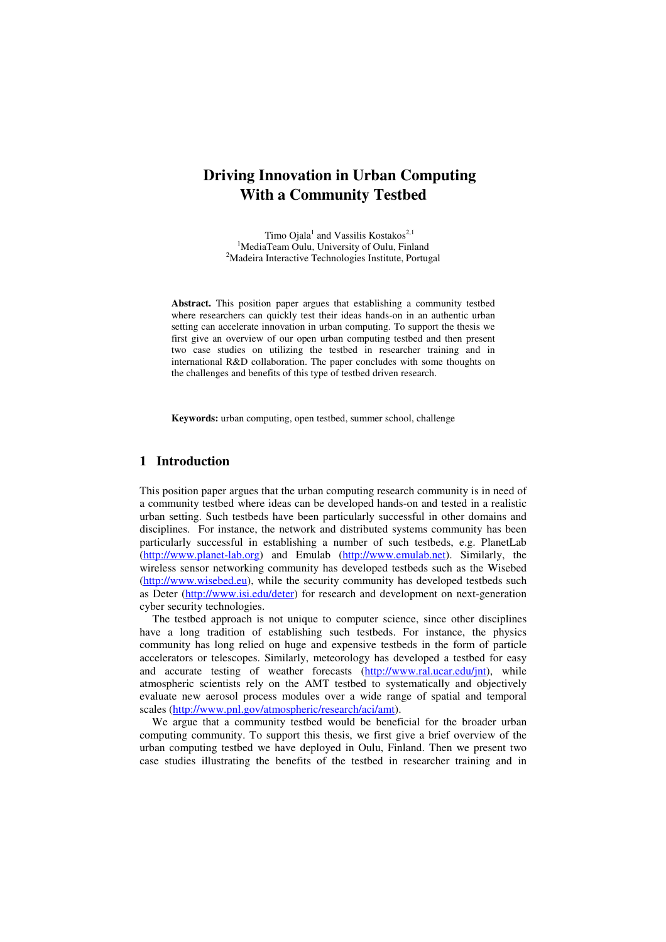# **Driving Innovation in Urban Computing With a Community Testbed**

Timo Ojala<sup>1</sup> and Vassilis Kostakos<sup>2,1</sup> <sup>1</sup>MediaTeam Oulu, University of Oulu, Finland <sup>2</sup>Madeira Interactive Technologies Institute, Portugal

**Abstract.** This position paper argues that establishing a community testbed where researchers can quickly test their ideas hands-on in an authentic urban setting can accelerate innovation in urban computing. To support the thesis we first give an overview of our open urban computing testbed and then present two case studies on utilizing the testbed in researcher training and in international R&D collaboration. The paper concludes with some thoughts on the challenges and benefits of this type of testbed driven research.

**Keywords:** urban computing, open testbed, summer school, challenge

### **1 Introduction**

This position paper argues that the urban computing research community is in need of a community testbed where ideas can be developed hands-on and tested in a realistic urban setting. Such testbeds have been particularly successful in other domains and disciplines. For instance, the network and distributed systems community has been particularly successful in establishing a number of such testbeds, e.g. PlanetLab (http://www.planet-lab.org) and Emulab (http://www.emulab.net). Similarly, the wireless sensor networking community has developed testbeds such as the Wisebed (http://www.wisebed.eu), while the security community has developed testbeds such as Deter (http://www.isi.edu/deter) for research and development on next-generation cyber security technologies.

The testbed approach is not unique to computer science, since other disciplines have a long tradition of establishing such testbeds. For instance, the physics community has long relied on huge and expensive testbeds in the form of particle accelerators or telescopes. Similarly, meteorology has developed a testbed for easy and accurate testing of weather forecasts (http://www.ral.ucar.edu/jnt), while atmospheric scientists rely on the AMT testbed to systematically and objectively evaluate new aerosol process modules over a wide range of spatial and temporal scales (http://www.pnl.gov/atmospheric/research/aci/amt).

We argue that a community testbed would be beneficial for the broader urban computing community. To support this thesis, we first give a brief overview of the urban computing testbed we have deployed in Oulu, Finland. Then we present two case studies illustrating the benefits of the testbed in researcher training and in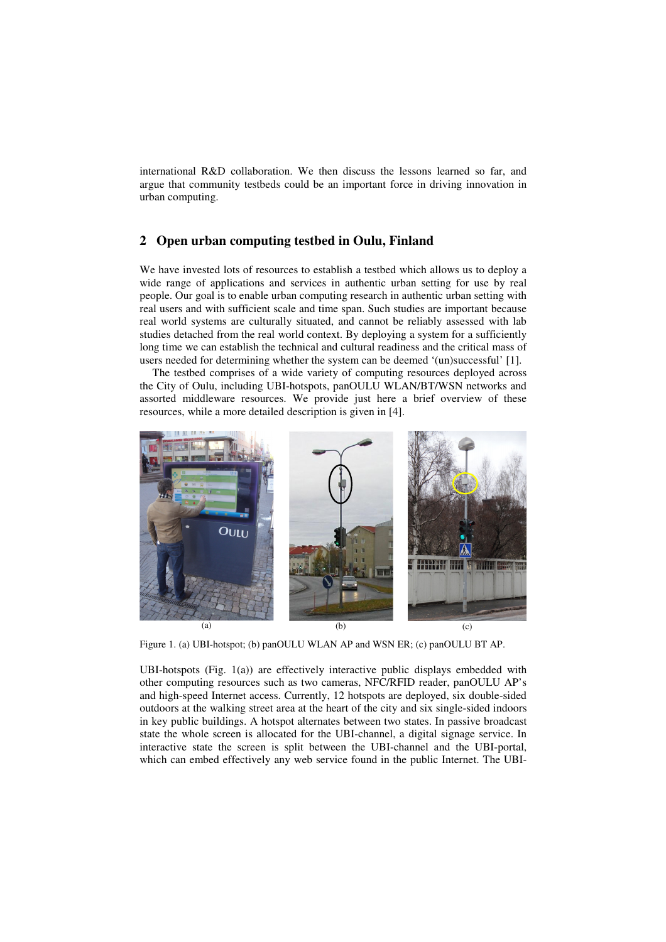international R&D collaboration. We then discuss the lessons learned so far, and argue that community testbeds could be an important force in driving innovation in urban computing.

### **2 Open urban computing testbed in Oulu, Finland**

We have invested lots of resources to establish a testbed which allows us to deploy a wide range of applications and services in authentic urban setting for use by real people. Our goal is to enable urban computing research in authentic urban setting with real users and with sufficient scale and time span. Such studies are important because real world systems are culturally situated, and cannot be reliably assessed with lab studies detached from the real world context. By deploying a system for a sufficiently long time we can establish the technical and cultural readiness and the critical mass of users needed for determining whether the system can be deemed '(un)successful' [1].

The testbed comprises of a wide variety of computing resources deployed across the City of Oulu, including UBI-hotspots, panOULU WLAN/BT/WSN networks and assorted middleware resources. We provide just here a brief overview of these resources, while a more detailed description is given in [4].



Figure 1. (a) UBI-hotspot; (b) panOULU WLAN AP and WSN ER; (c) panOULU BT AP.

UBI-hotspots (Fig. 1(a)) are effectively interactive public displays embedded with other computing resources such as two cameras, NFC/RFID reader, panOULU AP's and high-speed Internet access. Currently, 12 hotspots are deployed, six double-sided outdoors at the walking street area at the heart of the city and six single-sided indoors in key public buildings. A hotspot alternates between two states. In passive broadcast state the whole screen is allocated for the UBI-channel, a digital signage service. In interactive state the screen is split between the UBI-channel and the UBI-portal, which can embed effectively any web service found in the public Internet. The UBI-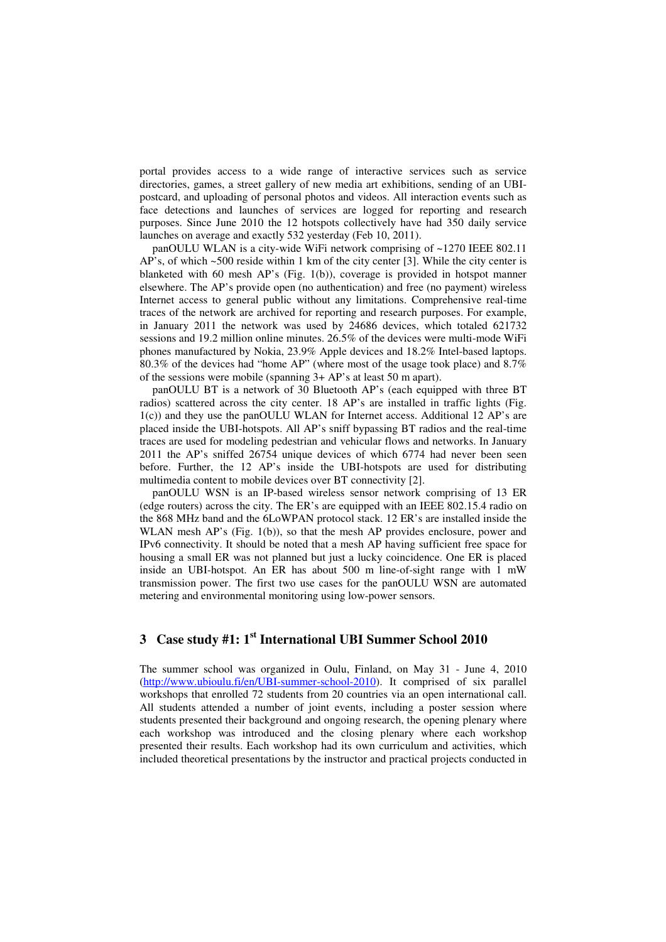portal provides access to a wide range of interactive services such as service directories, games, a street gallery of new media art exhibitions, sending of an UBIpostcard, and uploading of personal photos and videos. All interaction events such as face detections and launches of services are logged for reporting and research purposes. Since June 2010 the 12 hotspots collectively have had 350 daily service launches on average and exactly 532 yesterday (Feb 10, 2011).

panOULU WLAN is a city-wide WiFi network comprising of ~1270 IEEE 802.11 AP's, of which ~500 reside within 1 km of the city center [3]. While the city center is blanketed with 60 mesh AP's (Fig. 1(b)), coverage is provided in hotspot manner elsewhere. The AP's provide open (no authentication) and free (no payment) wireless Internet access to general public without any limitations. Comprehensive real-time traces of the network are archived for reporting and research purposes. For example, in January 2011 the network was used by 24686 devices, which totaled 621732 sessions and 19.2 million online minutes. 26.5% of the devices were multi-mode WiFi phones manufactured by Nokia, 23.9% Apple devices and 18.2% Intel-based laptops. 80.3% of the devices had "home AP" (where most of the usage took place) and 8.7% of the sessions were mobile (spanning 3+ AP's at least 50 m apart).

panOULU BT is a network of 30 Bluetooth AP's (each equipped with three BT radios) scattered across the city center. 18 AP's are installed in traffic lights (Fig. 1(c)) and they use the panOULU WLAN for Internet access. Additional 12 AP's are placed inside the UBI-hotspots. All AP's sniff bypassing BT radios and the real-time traces are used for modeling pedestrian and vehicular flows and networks. In January 2011 the AP's sniffed 26754 unique devices of which 6774 had never been seen before. Further, the 12 AP's inside the UBI-hotspots are used for distributing multimedia content to mobile devices over BT connectivity [2].

panOULU WSN is an IP-based wireless sensor network comprising of 13 ER (edge routers) across the city. The ER's are equipped with an IEEE 802.15.4 radio on the 868 MHz band and the 6LoWPAN protocol stack. 12 ER's are installed inside the WLAN mesh AP's (Fig. 1(b)), so that the mesh AP provides enclosure, power and IPv6 connectivity. It should be noted that a mesh AP having sufficient free space for housing a small ER was not planned but just a lucky coincidence. One ER is placed inside an UBI-hotspot. An ER has about 500 m line-of-sight range with 1 mW transmission power. The first two use cases for the panOULU WSN are automated metering and environmental monitoring using low-power sensors.

## **3 Case study #1: 1st International UBI Summer School 2010**

The summer school was organized in Oulu, Finland, on May 31 - June 4, 2010 (http://www.ubioulu.fi/en/UBI-summer-school-2010). It comprised of six parallel workshops that enrolled 72 students from 20 countries via an open international call. All students attended a number of joint events, including a poster session where students presented their background and ongoing research, the opening plenary where each workshop was introduced and the closing plenary where each workshop presented their results. Each workshop had its own curriculum and activities, which included theoretical presentations by the instructor and practical projects conducted in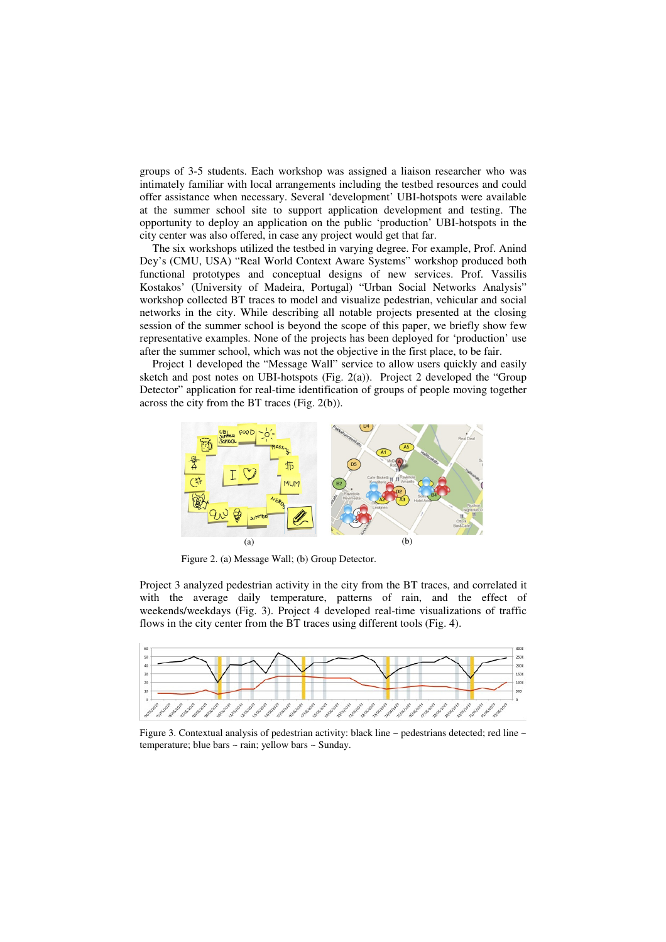groups of 3-5 students. Each workshop was assigned a liaison researcher who was intimately familiar with local arrangements including the testbed resources and could offer assistance when necessary. Several 'development' UBI-hotspots were available at the summer school site to support application development and testing. The opportunity to deploy an application on the public 'production' UBI-hotspots in the city center was also offered, in case any project would get that far.

The six workshops utilized the testbed in varying degree. For example, Prof. Anind Dey's (CMU, USA) "Real World Context Aware Systems" workshop produced both functional prototypes and conceptual designs of new services. Prof. Vassilis Kostakos' (University of Madeira, Portugal) "Urban Social Networks Analysis" workshop collected BT traces to model and visualize pedestrian, vehicular and social networks in the city. While describing all notable projects presented at the closing session of the summer school is beyond the scope of this paper, we briefly show few representative examples. None of the projects has been deployed for 'production' use after the summer school, which was not the objective in the first place, to be fair.

Project 1 developed the "Message Wall" service to allow users quickly and easily sketch and post notes on UBI-hotspots (Fig. 2(a)). Project 2 developed the "Group Detector" application for real-time identification of groups of people moving together across the city from the BT traces (Fig. 2(b)).



Figure 2. (a) Message Wall; (b) Group Detector.

Project 3 analyzed pedestrian activity in the city from the BT traces, and correlated it with the average daily temperature, patterns of rain, and the effect of weekends/weekdays (Fig. 3). Project 4 developed real-time visualizations of traffic flows in the city center from the BT traces using different tools (Fig. 4).



Figure 3. Contextual analysis of pedestrian activity: black line ~ pedestrians detected; red line ~ temperature; blue bars ~ rain; yellow bars ~ Sunday.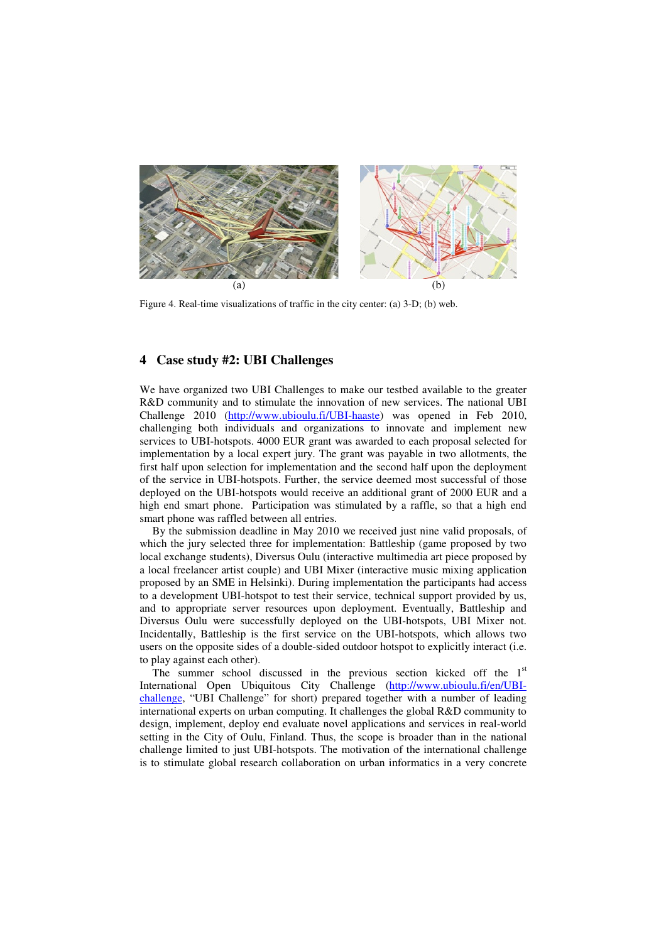

Figure 4. Real-time visualizations of traffic in the city center: (a) 3-D; (b) web.

### **4 Case study #2: UBI Challenges**

We have organized two UBI Challenges to make our testbed available to the greater R&D community and to stimulate the innovation of new services. The national UBI Challenge 2010 (http://www.ubioulu.fi/UBI-haaste) was opened in Feb 2010, challenging both individuals and organizations to innovate and implement new services to UBI-hotspots. 4000 EUR grant was awarded to each proposal selected for implementation by a local expert jury. The grant was payable in two allotments, the first half upon selection for implementation and the second half upon the deployment of the service in UBI-hotspots. Further, the service deemed most successful of those deployed on the UBI-hotspots would receive an additional grant of 2000 EUR and a high end smart phone. Participation was stimulated by a raffle, so that a high end smart phone was raffled between all entries.

By the submission deadline in May 2010 we received just nine valid proposals, of which the jury selected three for implementation: Battleship (game proposed by two local exchange students), Diversus Oulu (interactive multimedia art piece proposed by a local freelancer artist couple) and UBI Mixer (interactive music mixing application proposed by an SME in Helsinki). During implementation the participants had access to a development UBI-hotspot to test their service, technical support provided by us, and to appropriate server resources upon deployment. Eventually, Battleship and Diversus Oulu were successfully deployed on the UBI-hotspots, UBI Mixer not. Incidentally, Battleship is the first service on the UBI-hotspots, which allows two users on the opposite sides of a double-sided outdoor hotspot to explicitly interact (i.e. to play against each other).

The summer school discussed in the previous section kicked off the  $1<sup>st</sup>$ International Open Ubiquitous City Challenge (http://www.ubioulu.fi/en/UBIchallenge, "UBI Challenge" for short) prepared together with a number of leading international experts on urban computing. It challenges the global R&D community to design, implement, deploy end evaluate novel applications and services in real-world setting in the City of Oulu, Finland. Thus, the scope is broader than in the national challenge limited to just UBI-hotspots. The motivation of the international challenge is to stimulate global research collaboration on urban informatics in a very concrete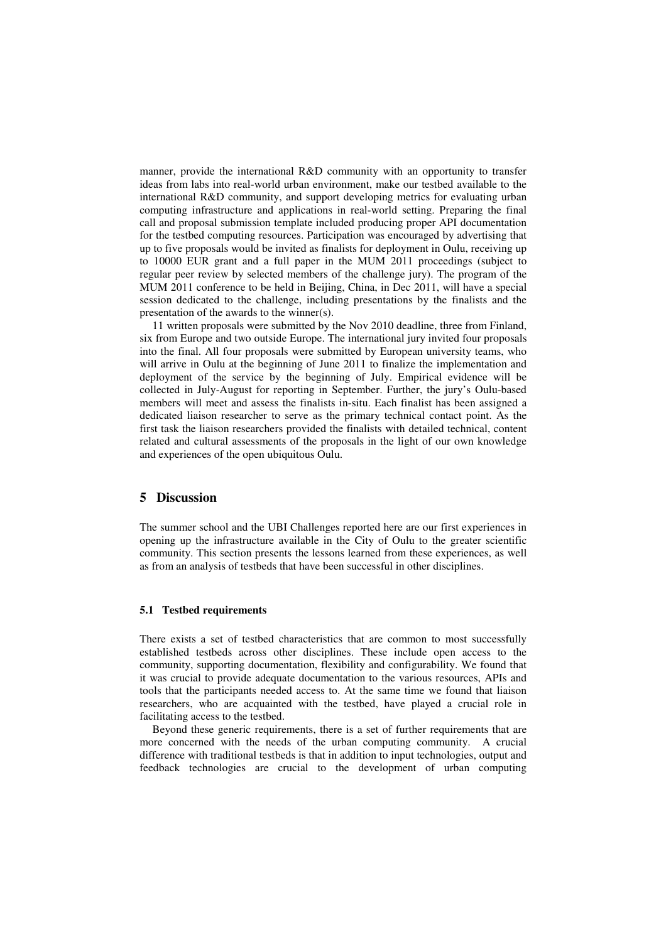manner, provide the international R&D community with an opportunity to transfer ideas from labs into real-world urban environment, make our testbed available to the international R&D community, and support developing metrics for evaluating urban computing infrastructure and applications in real-world setting. Preparing the final call and proposal submission template included producing proper API documentation for the testbed computing resources. Participation was encouraged by advertising that up to five proposals would be invited as finalists for deployment in Oulu, receiving up to 10000 EUR grant and a full paper in the MUM 2011 proceedings (subject to regular peer review by selected members of the challenge jury). The program of the MUM 2011 conference to be held in Beijing, China, in Dec 2011, will have a special session dedicated to the challenge, including presentations by the finalists and the presentation of the awards to the winner(s).

11 written proposals were submitted by the Nov 2010 deadline, three from Finland, six from Europe and two outside Europe. The international jury invited four proposals into the final. All four proposals were submitted by European university teams, who will arrive in Oulu at the beginning of June 2011 to finalize the implementation and deployment of the service by the beginning of July. Empirical evidence will be collected in July-August for reporting in September. Further, the jury's Oulu-based members will meet and assess the finalists in-situ. Each finalist has been assigned a dedicated liaison researcher to serve as the primary technical contact point. As the first task the liaison researchers provided the finalists with detailed technical, content related and cultural assessments of the proposals in the light of our own knowledge and experiences of the open ubiquitous Oulu.

### **5 Discussion**

The summer school and the UBI Challenges reported here are our first experiences in opening up the infrastructure available in the City of Oulu to the greater scientific community. This section presents the lessons learned from these experiences, as well as from an analysis of testbeds that have been successful in other disciplines.

#### **5.1 Testbed requirements**

There exists a set of testbed characteristics that are common to most successfully established testbeds across other disciplines. These include open access to the community, supporting documentation, flexibility and configurability. We found that it was crucial to provide adequate documentation to the various resources, APIs and tools that the participants needed access to. At the same time we found that liaison researchers, who are acquainted with the testbed, have played a crucial role in facilitating access to the testbed.

Beyond these generic requirements, there is a set of further requirements that are more concerned with the needs of the urban computing community. A crucial difference with traditional testbeds is that in addition to input technologies, output and feedback technologies are crucial to the development of urban computing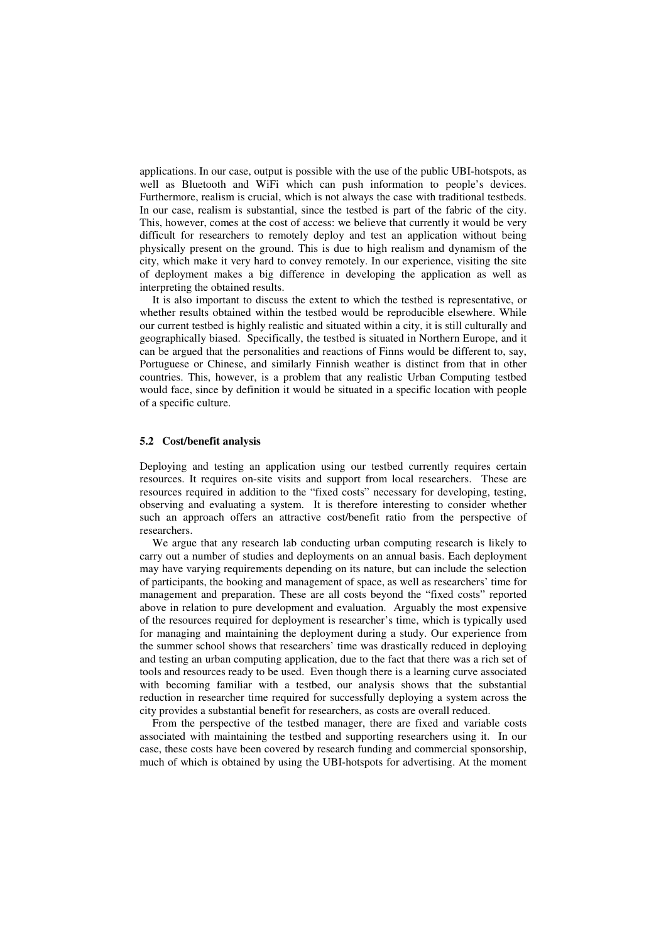applications. In our case, output is possible with the use of the public UBI-hotspots, as well as Bluetooth and WiFi which can push information to people's devices. Furthermore, realism is crucial, which is not always the case with traditional testbeds. In our case, realism is substantial, since the testbed is part of the fabric of the city. This, however, comes at the cost of access: we believe that currently it would be very difficult for researchers to remotely deploy and test an application without being physically present on the ground. This is due to high realism and dynamism of the city, which make it very hard to convey remotely. In our experience, visiting the site of deployment makes a big difference in developing the application as well as interpreting the obtained results.

It is also important to discuss the extent to which the testbed is representative, or whether results obtained within the testbed would be reproducible elsewhere. While our current testbed is highly realistic and situated within a city, it is still culturally and geographically biased. Specifically, the testbed is situated in Northern Europe, and it can be argued that the personalities and reactions of Finns would be different to, say, Portuguese or Chinese, and similarly Finnish weather is distinct from that in other countries. This, however, is a problem that any realistic Urban Computing testbed would face, since by definition it would be situated in a specific location with people of a specific culture.

#### **5.2 Cost/benefit analysis**

Deploying and testing an application using our testbed currently requires certain resources. It requires on-site visits and support from local researchers. These are resources required in addition to the "fixed costs" necessary for developing, testing, observing and evaluating a system. It is therefore interesting to consider whether such an approach offers an attractive cost/benefit ratio from the perspective of researchers.

We argue that any research lab conducting urban computing research is likely to carry out a number of studies and deployments on an annual basis. Each deployment may have varying requirements depending on its nature, but can include the selection of participants, the booking and management of space, as well as researchers' time for management and preparation. These are all costs beyond the "fixed costs" reported above in relation to pure development and evaluation. Arguably the most expensive of the resources required for deployment is researcher's time, which is typically used for managing and maintaining the deployment during a study. Our experience from the summer school shows that researchers' time was drastically reduced in deploying and testing an urban computing application, due to the fact that there was a rich set of tools and resources ready to be used. Even though there is a learning curve associated with becoming familiar with a testbed, our analysis shows that the substantial reduction in researcher time required for successfully deploying a system across the city provides a substantial benefit for researchers, as costs are overall reduced.

From the perspective of the testbed manager, there are fixed and variable costs associated with maintaining the testbed and supporting researchers using it. In our case, these costs have been covered by research funding and commercial sponsorship, much of which is obtained by using the UBI-hotspots for advertising. At the moment